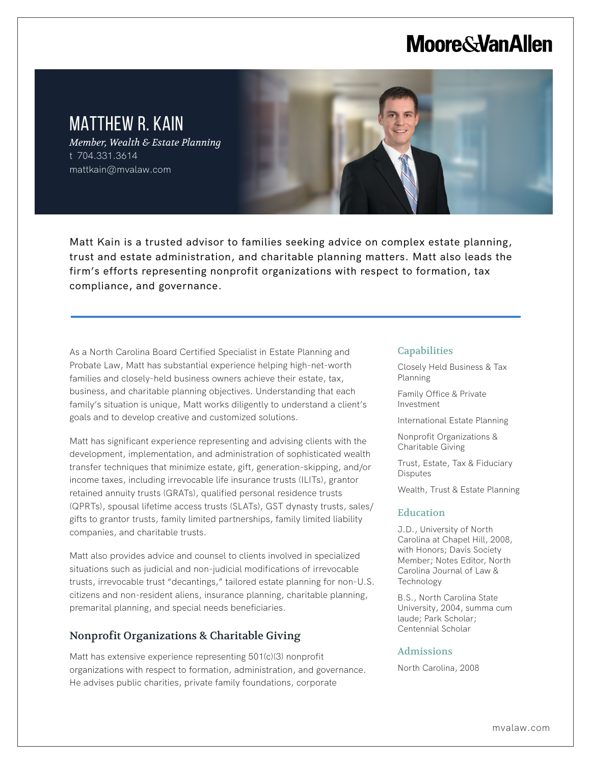# **Moore & Van Allen**

## MATTHEW R. KAIN

L

*Member, Wealth & Estate Planning* t 704.331.3614 mattkain@mvalaw.com

Matt Kain is a trusted advisor to families seeking advice on complex estate planning, trust and estate administration, and charitable planning matters. Matt also leads the firm's efforts representing nonprofit organizations with respect to formation, tax compliance, and governance.

As a North Carolina Board Certified Specialist in Estate Planning and Probate Law, Matt has substantial experience helping high-net-worth families and closely-held business owners achieve their estate, tax, business, and charitable planning objectives. Understanding that each family's situation is unique, Matt works diligently to understand a client's goals and to develop creative and customized solutions.

Matt has significant experience representing and advising clients with the development, implementation, and administration of sophisticated wealth transfer techniques that minimize estate, gift, generation-skipping, and/or income taxes, including irrevocable life insurance trusts (ILITs), grantor retained annuity trusts (GRATs), qualified personal residence trusts (QPRTs), spousal lifetime access trusts (SLATs), GST dynasty trusts, sales/ gifts to grantor trusts, family limited partnerships, family limited liability companies, and charitable trusts.

Matt also provides advice and counsel to clients involved in specialized situations such as judicial and non-judicial modifications of irrevocable trusts, irrevocable trust "decantings," tailored estate planning for non-U.S. citizens and non-resident aliens, insurance planning, charitable planning, premarital planning, and special needs beneficiaries.

### Nonprofit Organizations & Charitable Giving

Matt has extensive experience representing 501(c)(3) nonprofit organizations with respect to formation, administration, and governance. He advises public charities, private family foundations, corporate

#### **Capabilities**

Closely Held Business & Tax Planning

Family Office & Private Investment

International Estate Planning

Nonprofit Organizations & Charitable Giving

Trust, Estate, Tax & Fiduciary **Disputes** 

Wealth, Trust & Estate Planning

#### **Education**

J.D., University of North Carolina at Chapel Hill, 2008, with Honors; Davis Society Member; Notes Editor, North Carolina Journal of Law & Technology

B.S., North Carolina State University, 2004, summa cum laude; Park Scholar; Centennial Scholar

#### Admissions

North Carolina, 2008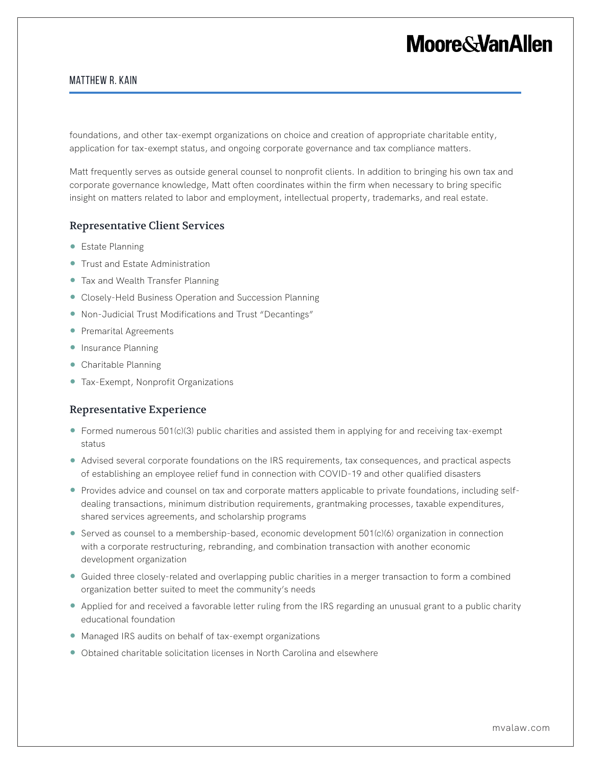# **Moore&VanAllen**

#### Matthew R. Kain

foundations, and other tax-exempt organizations on choice and creation of appropriate charitable entity, application for tax-exempt status, and ongoing corporate governance and tax compliance matters.

Matt frequently serves as outside general counsel to nonprofit clients. In addition to bringing his own tax and corporate governance knowledge, Matt often coordinates within the firm when necessary to bring specific insight on matters related to labor and employment, intellectual property, trademarks, and real estate.

### Representative Client Services

- Estate Planning
- Trust and Estate Administration
- Tax and Wealth Transfer Planning
- Closely-Held Business Operation and Succession Planning
- Non-Judicial Trust Modifications and Trust "Decantings"
- Premarital Agreements
- Insurance Planning
- Charitable Planning
- Tax-Exempt, Nonprofit Organizations

#### Representative Experience

- Formed numerous 501(c)(3) public charities and assisted them in applying for and receiving tax-exempt status
- Advised several corporate foundations on the IRS requirements, tax consequences, and practical aspects of establishing an employee relief fund in connection with COVID-19 and other qualified disasters
- Provides advice and counsel on tax and corporate matters applicable to private foundations, including selfdealing transactions, minimum distribution requirements, grantmaking processes, taxable expenditures, shared services agreements, and scholarship programs
- Served as counsel to a membership-based, economic development 501(c)(6) organization in connection with a corporate restructuring, rebranding, and combination transaction with another economic development organization
- Guided three closely-related and overlapping public charities in a merger transaction to form a combined organization better suited to meet the community's needs
- Applied for and received a favorable letter ruling from the IRS regarding an unusual grant to a public charity educational foundation
- Managed IRS audits on behalf of tax-exempt organizations
- Obtained charitable solicitation licenses in North Carolina and elsewhere